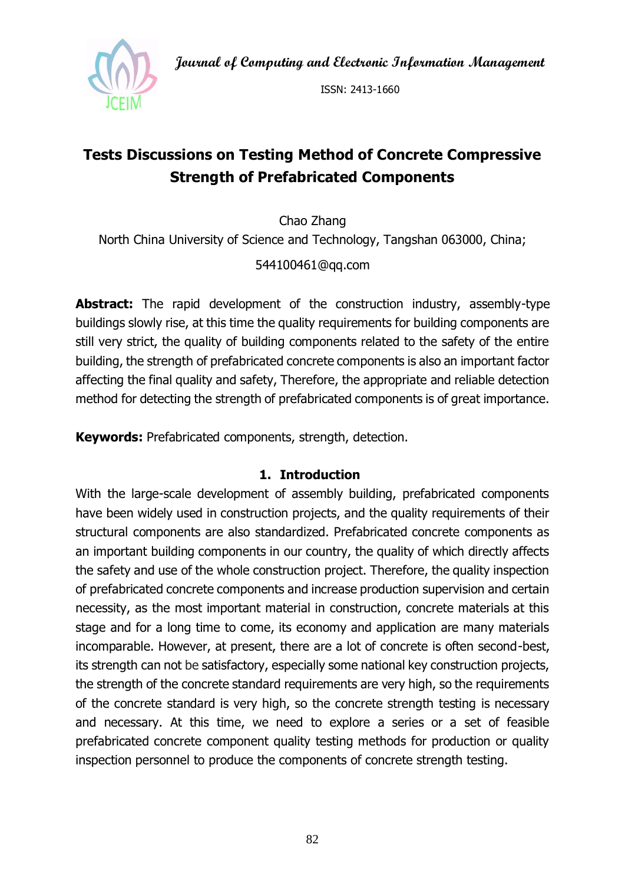**Journal of Computing and Electronic Information Management**



ISSN: 2413-1660

# **Tests Discussions on Testing Method of Concrete Compressive Strength of Prefabricated Components**

Chao Zhang North China University of Science and Technology, Tangshan 063000, China;

### 544100461@qq.com

**Abstract:** The rapid development of the construction industry, assembly-type buildings slowly rise, at this time the quality requirements for building components are still very strict, the quality of building components related to the safety of the entire building, the strength of prefabricated concrete components is also an important factor affecting the final quality and safety, Therefore, the appropriate and reliable detection method for detecting the strength of prefabricated components is of great importance.

**Keywords:** Prefabricated components, strength, detection.

#### **1. Introduction**

With the large-scale development of assembly building, prefabricated components have been widely used in construction projects, and the quality requirements of their structural components are also standardized. Prefabricated concrete components as an important building components in our country, the quality of which directly affects the safety and use of the whole construction project. Therefore, the quality inspection of prefabricated concrete components and increase production supervision and certain necessity, as the most important material in construction, concrete materials at this stage and for a long time to come, its economy and application are many materials incomparable. However, at present, there are a lot of concrete is often second-best, its strength can not be satisfactory, especially some national key construction projects, the strength of the concrete standard requirements are very high, so the requirements of the concrete standard is very high, so the concrete strength testing is necessary and necessary. At this time, we need to explore a series or a set of feasible prefabricated concrete component quality testing methods for production or quality inspection personnel to produce the components of concrete strength testing.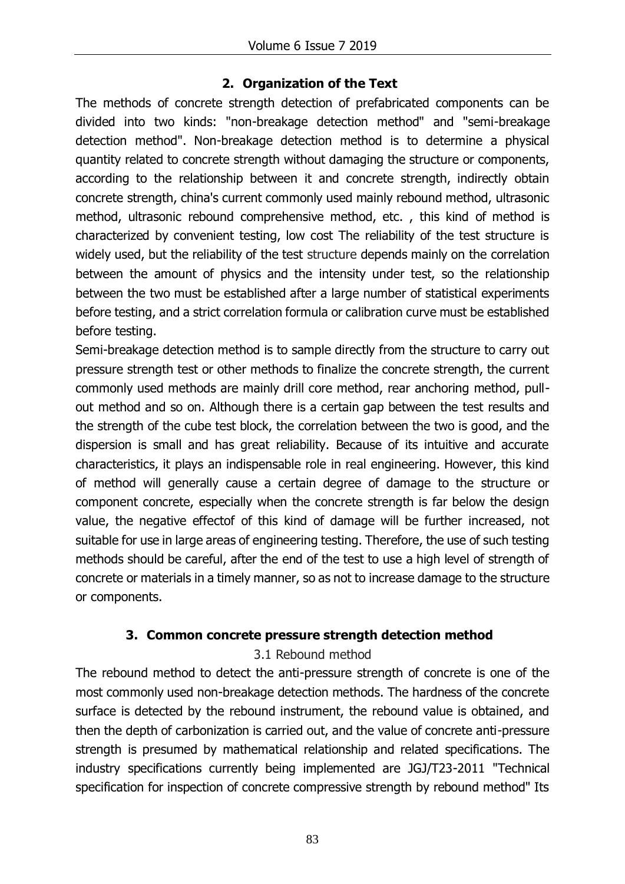# **2. Organization of the Text**

The methods of concrete strength detection of prefabricated components can be divided into two kinds: "non-breakage detection method" and "semi-breakage detection method". Non-breakage detection method is to determine a physical quantity related to concrete strength without damaging the structure or components, according to the relationship between it and concrete strength, indirectly obtain concrete strength, china's current commonly used mainly rebound method, ultrasonic method, ultrasonic rebound comprehensive method, etc. , this kind of method is characterized by convenient testing, low cost The reliability of the test structure is widely used, but the reliability of the test structure depends mainly on the correlation between the amount of physics and the intensity under test, so the relationship between the two must be established after a large number of statistical experiments before testing, and a strict correlation formula or calibration curve must be established before testing.

Semi-breakage detection method is to sample directly from the structure to carry out pressure strength test or other methods to finalize the concrete strength, the current commonly used methods are mainly drill core method, rear anchoring method, pullout method and so on. Although there is a certain gap between the test results and the strength of the cube test block, the correlation between the two is good, and the dispersion is small and has great reliability. Because of its intuitive and accurate characteristics, it plays an indispensable role in real engineering. However, this kind of method will generally cause a certain degree of damage to the structure or component concrete, especially when the concrete strength is far below the design value, the negative effectof of this kind of damage will be further increased, not suitable for use in large areas of engineering testing. Therefore, the use of such testing methods should be careful, after the end of the test to use a high level of strength of concrete or materials in a timely manner, so as not to increase damage to the structure or components.

# **3. Common concrete pressure strength detection method**

#### 3.1 Rebound method

The rebound method to detect the anti-pressure strength of concrete is one of the most commonly used non-breakage detection methods. The hardness of the concrete surface is detected by the rebound instrument, the rebound value is obtained, and then the depth of carbonization is carried out, and the value of concrete anti-pressure strength is presumed by mathematical relationship and related specifications. The industry specifications currently being implemented are JGJ/T23-2011 "Technical specification for inspection of concrete compressive strength by rebound method" Its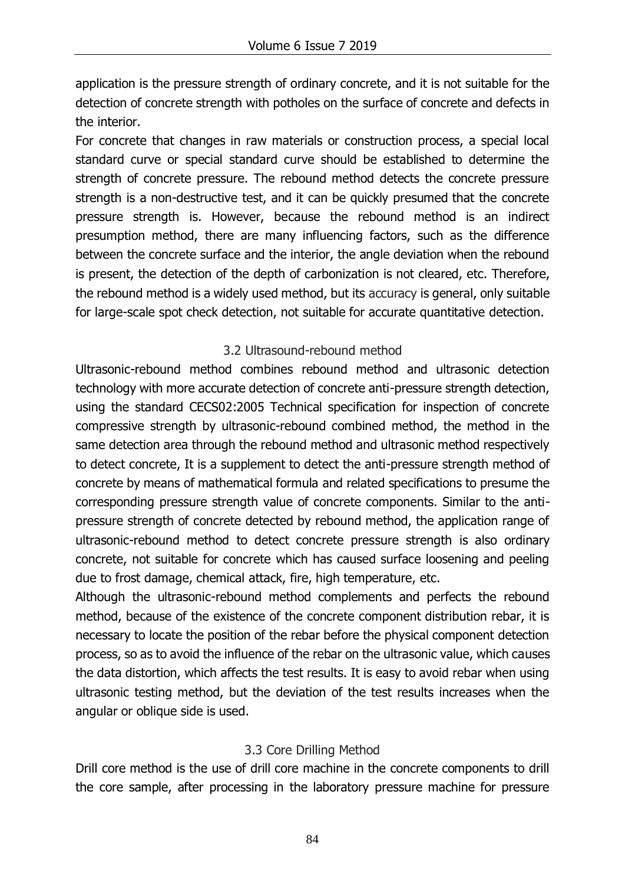application is the pressure strength of ordinary concrete, and it is not suitable for the detection of concrete strength with potholes on the surface of concrete and defects in the interior.

For concrete that changes in raw materials or construction process, a special local standard curve or special standard curve should be established to determine the strength of concrete pressure. The rebound method detects the concrete pressure strength is a non-destructive test, and it can be quickly presumed that the concrete pressure strength is. However, because the rebound method is an indirect presumption method, there are many influencing factors, such as the difference between the concrete surface and the interior, the angle deviation when the rebound is present, the detection of the depth of carbonization is not cleared, etc. Therefore, the rebound method is a widely used method, but its accuracy is general, only suitable for large-scale spot check detection, not suitable for accurate quantitative detection.

# 3.2 Ultrasound-rebound method

Ultrasonic-rebound method combines rebound method and ultrasonic detection technology with more accurate detection of concrete anti-pressure strength detection, using the standard CECS02:2005 Technical specification for inspection of concrete compressive strength by ultrasonic-rebound combined method, the method in the same detection area through the rebound method and ultrasonic method respectively to detect concrete, It is a supplement to detect the anti-pressure strength method of concrete by means of mathematical formula and related specifications to presume the corresponding pressure strength value of concrete components. Similar to the antipressure strength of concrete detected by rebound method, the application range of ultrasonic-rebound method to detect concrete pressure strength is also ordinary concrete, not suitable for concrete which has caused surface loosening and peeling due to frost damage, chemical attack, fire, high temperature, etc.

Although the ultrasonic-rebound method complements and perfects the rebound method, because of the existence of the concrete component distribution rebar, it is necessary to locate the position of the rebar before the physical component detection process, so as to avoid the influence of the rebar on the ultrasonic value, which causes the data distortion, which affects the test results. It is easy to avoid rebar when using ultrasonic testing method, but the deviation of the test results increases when the angular or oblique side is used.

# 3.3 Core Drilling Method

Drill core method is the use of drill core machine in the concrete components to drill the core sample, after processing in the laboratory pressure machine for pressure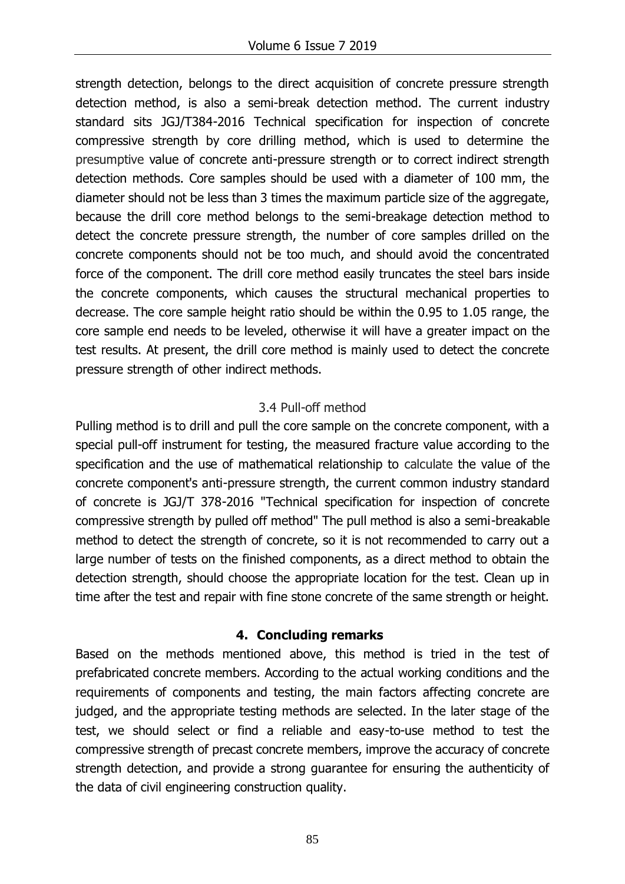strength detection, belongs to the direct acquisition of concrete pressure strength detection method, is also a semi-break detection method. The current industry standard sits JGJ/T384-2016 Technical specification for inspection of concrete compressive strength by core drilling method, which is used to determine the presumptive value of concrete anti-pressure strength or to correct indirect strength detection methods. Core samples should be used with a diameter of 100 mm, the diameter should not be less than 3 times the maximum particle size of the aggregate, because the drill core method belongs to the semi-breakage detection method to detect the concrete pressure strength, the number of core samples drilled on the concrete components should not be too much, and should avoid the concentrated force of the component. The drill core method easily truncates the steel bars inside the concrete components, which causes the structural mechanical properties to decrease. The core sample height ratio should be within the 0.95 to 1.05 range, the core sample end needs to be leveled, otherwise it will have a greater impact on the test results. At present, the drill core method is mainly used to detect the concrete pressure strength of other indirect methods.

#### 3.4 Pull-off method

Pulling method is to drill and pull the core sample on the concrete component, with a special pull-off instrument for testing, the measured fracture value according to the specification and the use of mathematical relationship to calculate the value of the concrete component's anti-pressure strength, the current common industry standard of concrete is JGJ/T 378-2016 "Technical specification for inspection of concrete compressive strength by pulled off method" The pull method is also a semi-breakable method to detect the strength of concrete, so it is not recommended to carry out a large number of tests on the finished components, as a direct method to obtain the detection strength, should choose the appropriate location for the test. Clean up in time after the test and repair with fine stone concrete of the same strength or height.

#### **4. Concluding remarks**

Based on the methods mentioned above, this method is tried in the test of prefabricated concrete members. According to the actual working conditions and the requirements of components and testing, the main factors affecting concrete are judged, and the appropriate testing methods are selected. In the later stage of the test, we should select or find a reliable and easy-to-use method to test the compressive strength of precast concrete members, improve the accuracy of concrete strength detection, and provide a strong guarantee for ensuring the authenticity of the data of civil engineering construction quality.